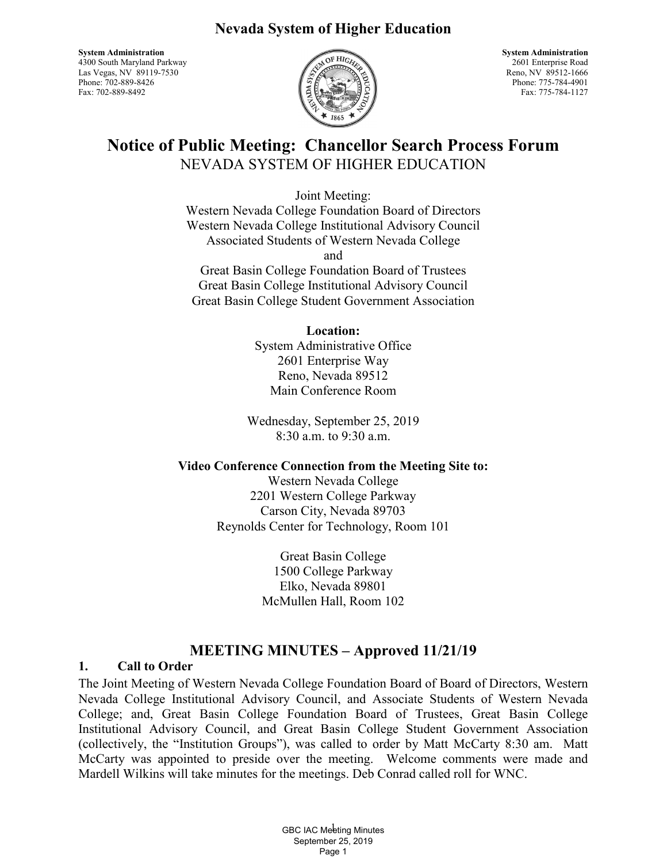# **Nevada System of Higher Education**

**System Administration System Administration System Administration** 4300 South Maryland Parkway 2601 Enterprise Road Las Vegas, NV 89119-7530<br>Phone: 702-889-8426 Fax: 702-889-8492 Fax: 775-784-1127



Phone: 775-784-4901

# **Notice of Public Meeting: Chancellor Search Process Forum** NEVADA SYSTEM OF HIGHER EDUCATION

Joint Meeting: Western Nevada College Foundation Board of Directors Western Nevada College Institutional Advisory Council Associated Students of Western Nevada College and

Great Basin College Foundation Board of Trustees Great Basin College Institutional Advisory Council Great Basin College Student Government Association

### **Location:**

System Administrative Office 2601 Enterprise Way Reno, Nevada 89512 Main Conference Room

Wednesday, September 25, 2019 8:30 a.m. to 9:30 a.m.

# **Video Conference Connection from the Meeting Site to:**

Western Nevada College 2201 Western College Parkway Carson City, Nevada 89703 Reynolds Center for Technology, Room 101

> Great Basin College 1500 College Parkway Elko, Nevada 89801 McMullen Hall, Room 102

# **MEETING MINUTES – Approved 11/21/19**

# **1. Call to Order**

The Joint Meeting of Western Nevada College Foundation Board of Board of Directors, Western Nevada College Institutional Advisory Council, and Associate Students of Western Nevada College; and, Great Basin College Foundation Board of Trustees, Great Basin College Institutional Advisory Council, and Great Basin College Student Government Association (collectively, the "Institution Groups"), was called to order by Matt McCarty 8:30 am. Matt McCarty was appointed to preside over the meeting. Welcome comments were made and Mardell Wilkins will take minutes for the meetings. Deb Conrad called roll for WNC.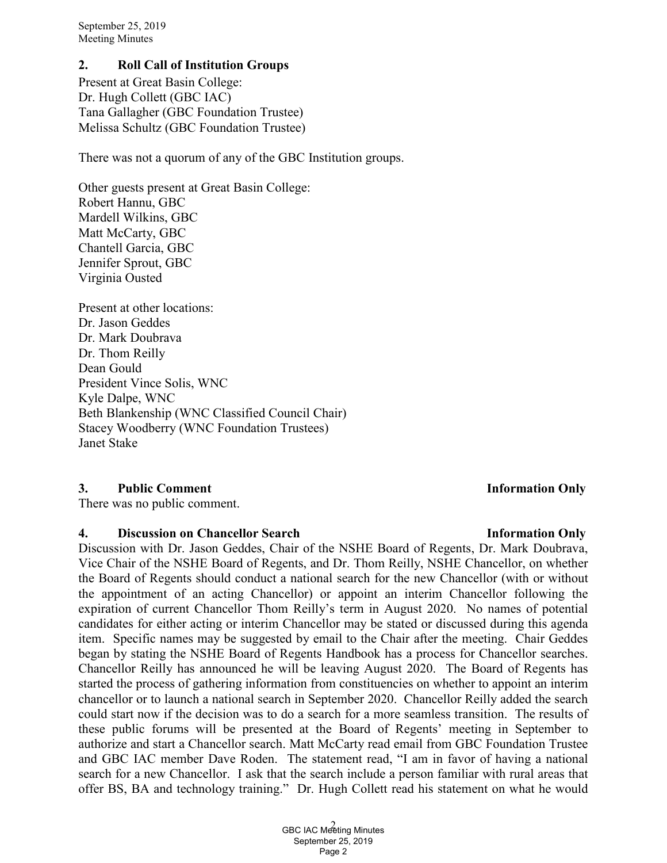### **2. Roll Call of Institution Groups**

Present at Great Basin College: Dr. Hugh Collett (GBC IAC) Tana Gallagher (GBC Foundation Trustee) Melissa Schultz (GBC Foundation Trustee)

There was not a quorum of any of the GBC Institution groups.

Other guests present at Great Basin College: Robert Hannu, GBC Mardell Wilkins, GBC Matt McCarty, GBC Chantell Garcia, GBC Jennifer Sprout, GBC Virginia Ousted

Present at other locations: Dr. Jason Geddes Dr. Mark Doubrava Dr. Thom Reilly Dean Gould President Vince Solis, WNC Kyle Dalpe, WNC Beth Blankenship (WNC Classified Council Chair) Stacey Woodberry (WNC Foundation Trustees) Janet Stake

### **3. Public Comment Information Only**

There was no public comment.

#### **4. Discussion on Chancellor Search 1nformation Only 11. Information Only**

Discussion with Dr. Jason Geddes, Chair of the NSHE Board of Regents, Dr. Mark Doubrava, Vice Chair of the NSHE Board of Regents, and Dr. Thom Reilly, NSHE Chancellor, on whether the Board of Regents should conduct a national search for the new Chancellor (with or without the appointment of an acting Chancellor) or appoint an interim Chancellor following the expiration of current Chancellor Thom Reilly's term in August 2020. No names of potential candidates for either acting or interim Chancellor may be stated or discussed during this agenda item. Specific names may be suggested by email to the Chair after the meeting. Chair Geddes began by stating the NSHE Board of Regents Handbook has a process for Chancellor searches. Chancellor Reilly has announced he will be leaving August 2020. The Board of Regents has started the process of gathering information from constituencies on whether to appoint an interim chancellor or to launch a national search in September 2020. Chancellor Reilly added the search could start now if the decision was to do a search for a more seamless transition. The results of these public forums will be presented at the Board of Regents' meeting in September to authorize and start a Chancellor search. Matt McCarty read email from GBC Foundation Trustee and GBC IAC member Dave Roden. The statement read, "I am in favor of having a national search for a new Chancellor. I ask that the search include a person familiar with rural areas that offer BS, BA and technology training." Dr. Hugh Collett read his statement on what he would

#### 2 GBC IAC Meeting Minutes September 25, 2019 Page 2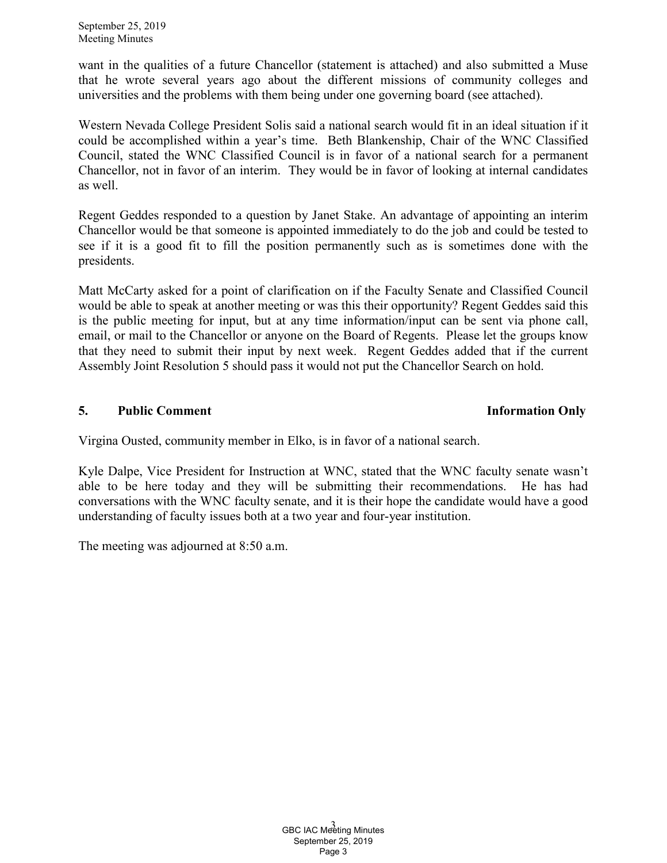want in the qualities of a future Chancellor (statement is attached) and also submitted a Muse that he wrote several years ago about the different missions of community colleges and universities and the problems with them being under one governing board (see attached).

Western Nevada College President Solis said a national search would fit in an ideal situation if it could be accomplished within a year's time. Beth Blankenship, Chair of the WNC Classified Council, stated the WNC Classified Council is in favor of a national search for a permanent Chancellor, not in favor of an interim. They would be in favor of looking at internal candidates as well.

Regent Geddes responded to a question by Janet Stake. An advantage of appointing an interim Chancellor would be that someone is appointed immediately to do the job and could be tested to see if it is a good fit to fill the position permanently such as is sometimes done with the presidents.

Matt McCarty asked for a point of clarification on if the Faculty Senate and Classified Council would be able to speak at another meeting or was this their opportunity? Regent Geddes said this is the public meeting for input, but at any time information/input can be sent via phone call, email, or mail to the Chancellor or anyone on the Board of Regents. Please let the groups know that they need to submit their input by next week. Regent Geddes added that if the current Assembly Joint Resolution 5 should pass it would not put the Chancellor Search on hold.

# **5. Public Comment Information Only**

Virgina Ousted, community member in Elko, is in favor of a national search.

Kyle Dalpe, Vice President for Instruction at WNC, stated that the WNC faculty senate wasn't able to be here today and they will be submitting their recommendations. He has had conversations with the WNC faculty senate, and it is their hope the candidate would have a good understanding of faculty issues both at a two year and four-year institution.

The meeting was adjourned at 8:50 a.m.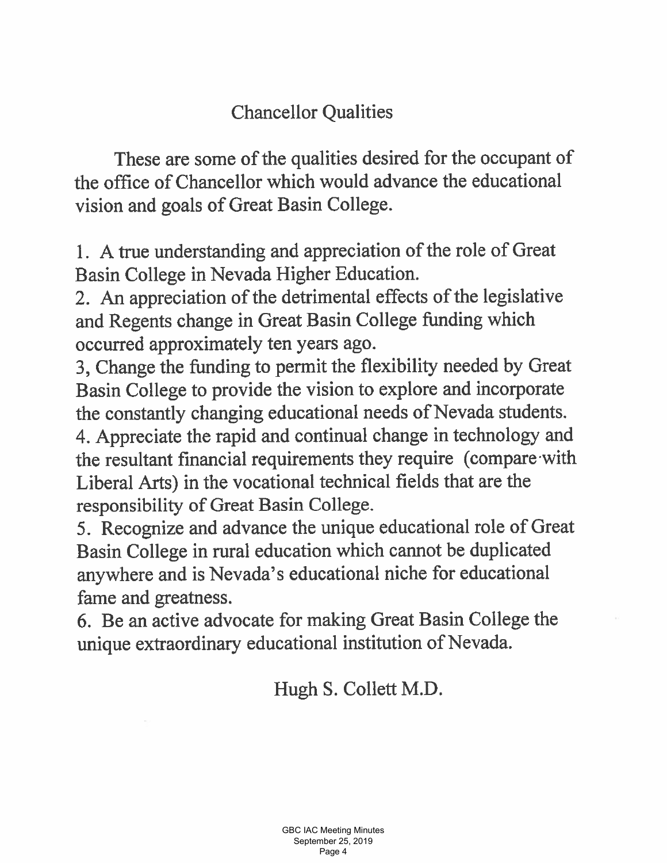# **Chancellor Qualities**

These are some of the qualities desired for the occupant of the office of Chancellor which would advance the educational vision and goals of Great Basin College.

1. A true understanding and appreciation of the role of Great Basin College in Nevada Higher Education.

2. An appreciation of the detrimental effects of the legislative and Regents change in Great Basin College funding which occurred approximately ten years ago.

3, Change the funding to permit the flexibility needed by Great Basin College to provide the vision to explore and incorporate the constantly changing educational needs of Nevada students.

4. Appreciate the rapid and continual change in technology and the resultant financial requirements they require (compare with Liberal Arts) in the vocational technical fields that are the responsibility of Great Basin College.

5. Recognize and advance the unique educational role of Great Basin College in rural education which cannot be duplicated anywhere and is Nevada's educational niche for educational fame and greatness.

6. Be an active advocate for making Great Basin College the unique extraordinary educational institution of Nevada.

Hugh S. Collett M.D.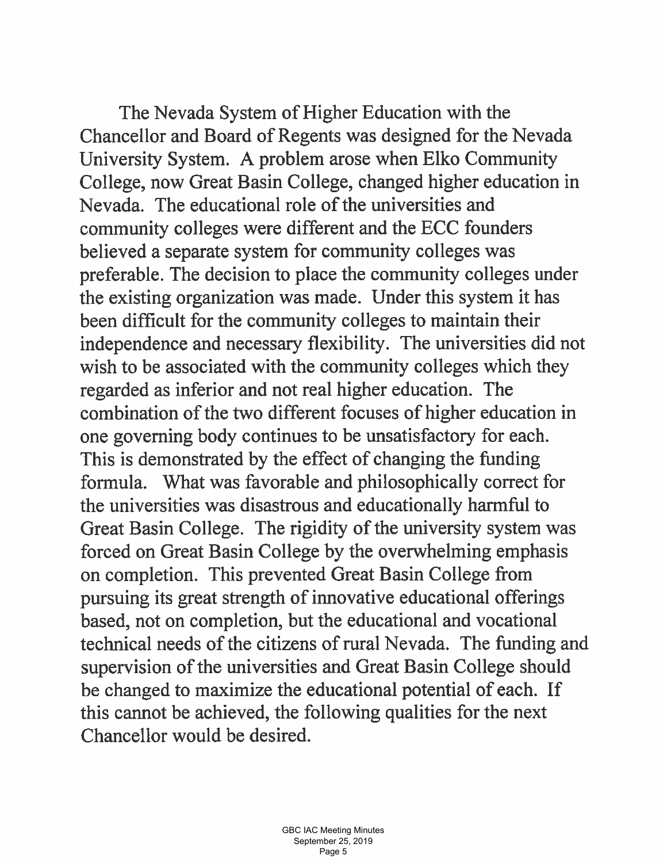The Nevada System of Higher Education with the Chancellor and Board of Regents was designed for the Nevada University System. A problem arose when Elko Community College, now Great Basin College, changed higher education in Nevada. The educational role of the universities and community colleges were different and the ECC founders believed a separate system for community colleges was preferable. The decision to place the community colleges under the existing organization was made. Under this system it has been difficult for the community colleges to maintain their independence and necessary flexibility. The universities did not wish to be associated with the community colleges which they regarded as inferior and not real higher education. The combination of the two different focuses of higher education in one governing body continues to be unsatisfactory for each. This is demonstrated by the effect of changing the funding formula. What was favorable and philosophically correct for the universities was disastrous and educationally harmful to Great Basin College. The rigidity of the university system was forced on Great Basin College by the overwhelming emphasis on completion. This prevented Great Basin College from pursuing its great strength of innovative educational offerings based, not on completion, but the educational and vocational technical needs of the citizens of rural Nevada. The funding and supervision of the universities and Great Basin College should be changed to maximize the educational potential of each. If this cannot be achieved, the following qualities for the next Chancellor would be desired.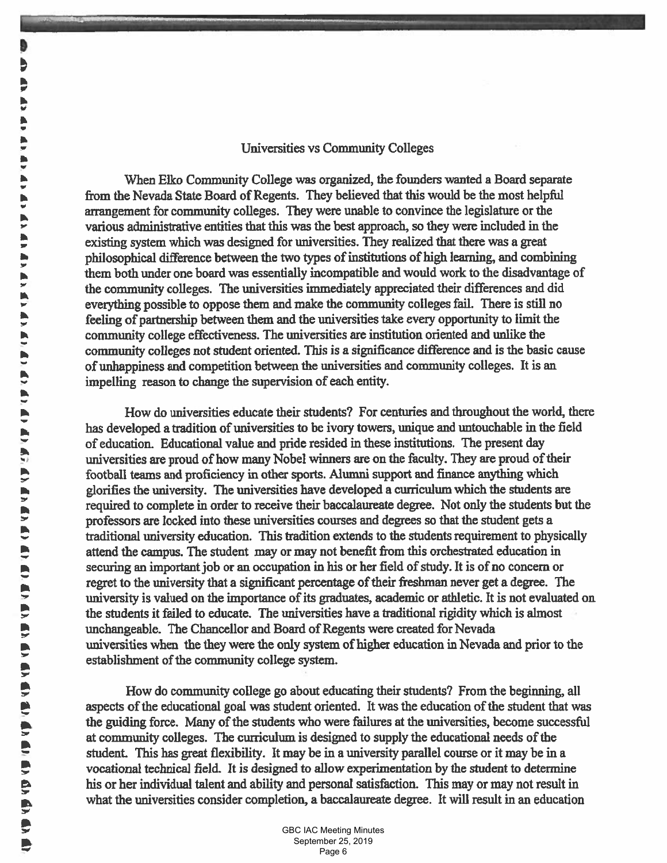#### **Universities vs Community Colleges**

When Elko Community College was organized, the founders wanted a Board separate from the Nevada State Board of Regents. They believed that this would be the most helpful arrangement for community colleges. They were unable to convince the legislature or the various administrative entities that this was the best approach, so they were included in the existing system which was designed for universities. They realized that there was a great philosophical difference between the two types of institutions of high learning, and combining them both under one board was essentially incompatible and would work to the disadvantage of the community colleges. The universities immediately appreciated their differences and did everything possible to oppose them and make the community colleges fail. There is still no feeling of partnership between them and the universities take every opportunity to limit the community college effectiveness. The universities are institution oriented and unlike the community colleges not student oriented. This is a significance difference and is the basic cause of unhappiness and competition between the universities and community colleges. It is an impelling reason to change the supervision of each entity.

How do universities educate their students? For centuries and throughout the world, there has developed a tradition of universities to be ivory towers, unique and untouchable in the field of education. Educational value and pride resided in these institutions. The present day universities are proud of how many Nobel winners are on the faculty. They are proud of their football teams and proficiency in other sports. Alumni support and finance anything which glorifies the university. The universities have developed a curriculum which the students are required to complete in order to receive their baccalaureate degree. Not only the students but the professors are locked into these universities courses and degrees so that the student gets a traditional university education. This tradition extends to the students requirement to physically attend the campus. The student may or may not benefit from this orchestrated education in securing an important job or an occupation in his or her field of study. It is of no concern or regret to the university that a significant percentage of their freshman never get a degree. The university is valued on the importance of its graduates, academic or athletic. It is not evaluated on the students it failed to educate. The universities have a traditional rigidity which is almost unchangeable. The Chancellor and Board of Regents were created for Nevada universities when the they were the only system of higher education in Nevada and prior to the establishment of the community college system.

How do community college go about educating their students? From the beginning, all aspects of the educational goal was student oriented. It was the education of the student that was the guiding force. Many of the students who were failures at the universities, become successful at community colleges. The curriculum is designed to supply the educational needs of the student. This has great flexibility. It may be in a university parallel course or it may be in a vocational technical field. It is designed to allow experimentation by the student to determine his or her individual talent and ability and personal satisfaction. This may or may not result in what the universities consider completion, a baccalaureate degree. It will result in an education